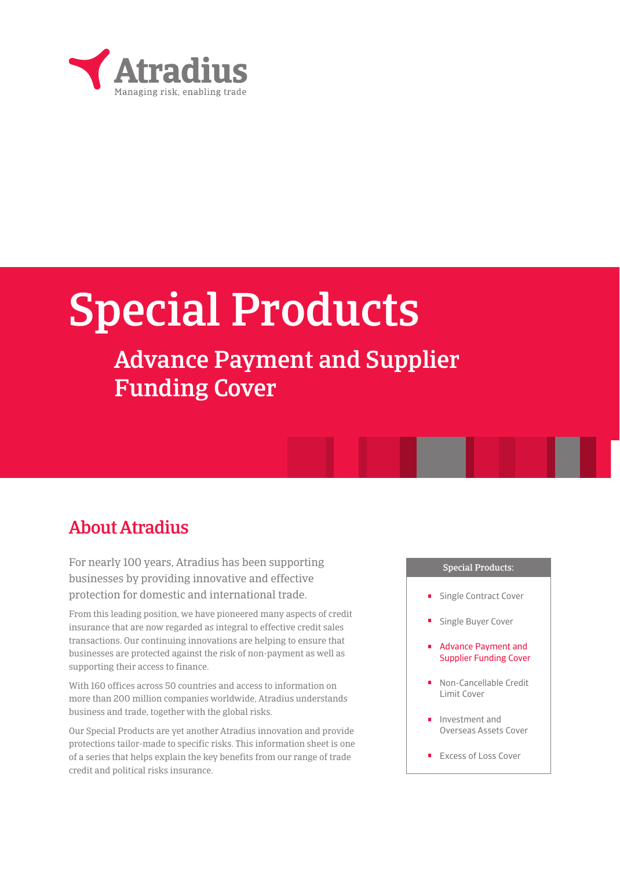

# Special Products

## Advance Payment and Supplier Funding Cover

## About Atradius

For nearly 100 years, Atradius has been supporting businesses by providing innovative and effective protection for domestic and international trade.

From this leading position, we have pioneered many aspects of credit insurance that are now regarded as integral to effective credit sales transactions. Our continuing innovations are helping to ensure that businesses are protected against the risk of non-payment as well as supporting their access to finance.

With 160 offices across 50 countries and access to information on more than 200 million companies worldwide, Atradius understands business and trade, together with the global risks.

Our Special Products are yet another Atradius innovation and provide protections tailor-made to specific risks. This information sheet is one of a series that helps explain the key benefits from our range of trade credit and political risks insurance.

## Special Products:

- Single Contract Cover
- Single Buyer Cover
- Advance Payment and Supplier Funding Cover
- Non-Cancellable Credit Limit Cover
- Investment and Overseas Assets Cover
- Excess of Loss Cover